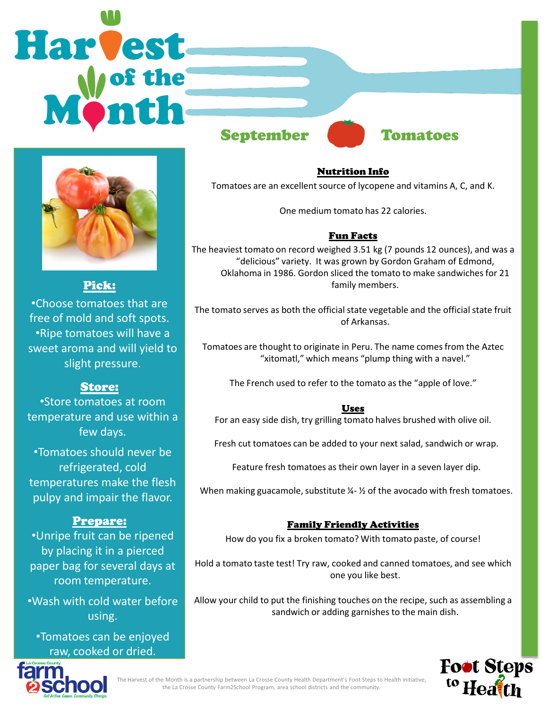# **Harvest** September Tomatoes



Pick:

•Choose tomatoes that are free of mold and soft spots. •Ripe tomatoes will have a sweet aroma and will yield to slight pressure.

## Store:

•Store tomatoes at room temperature and use within a few days.

•Tomatoes should never be refrigerated, cold temperatures make the flesh pulpy and impair the flavor.

#### Prepare:

•Unripe fruit can be ripened by placing it in a pierced paper bag for several days at room temperature.

•Wash with cold water before using.

•Tomatoes can be enjoyed raw, cooked or dried.

# Nutrition Info

Tomatoes are an excellent source of lycopene and vitamins A, C, and K.

One medium tomato has 22 calories.

#### Fun Facts

The heaviest tomato on record weighed 3.51 kg (7 pounds 12 ounces), and was a "delicious" variety. It was grown by Gordon Graham of Edmond, Oklahoma in 1986. Gordon sliced the tomato to make sandwiches for 21 family members.

The tomato serves as both the official state vegetable and the official state fruit of Arkansas.

Tomatoes are thought to originate in Peru. The name comes from the Aztec "xitomatl," which means "plump thing with a navel."

The French used to refer to the tomato as the "apple of love."

#### Uses

For an easy side dish, try grilling tomato halves brushed with olive oil.

Fresh cut tomatoes can be added to your next salad, sandwich or wrap.

Feature fresh tomatoes as their own layer in a seven layer dip.

When making guacamole, substitute  $\frac{1}{2}$  of the avocado with fresh tomatoes.

#### Family Friendly Activities

How do you fix a broken tomato? With tomato paste, of course!

Hold a tomato taste test! Try raw, cooked and canned tomatoes, and see which one you like best.

Allow your child to put the finishing touches on the recipe, such as assembling a sandwich or adding garnishes to the main dish.